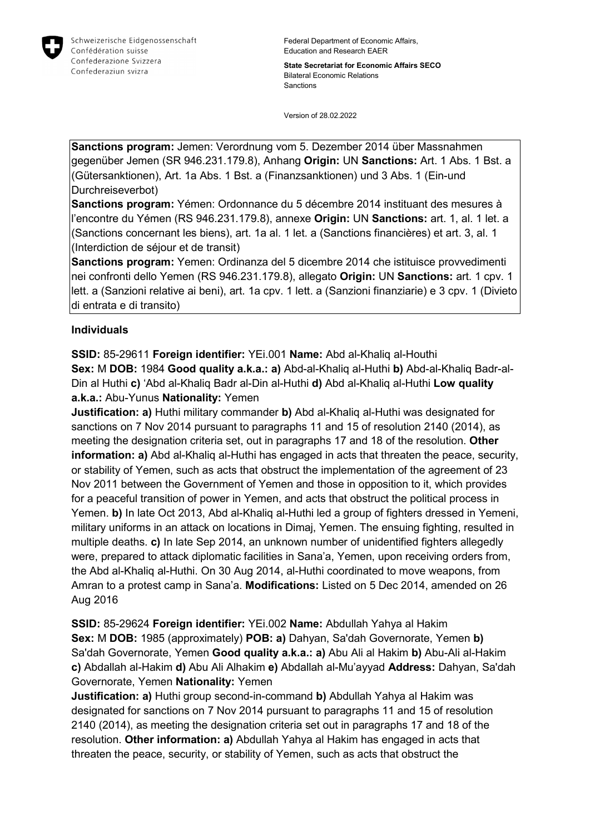

Federal Department of Economic Affairs, Education and Research EAER

**State Secretariat for Economic Affairs SECO** Bilateral Economic Relations Sanctions

Version of 28.02.2022

**Sanctions program:** Jemen: Verordnung vom 5. Dezember 2014 über Massnahmen gegenüber Jemen (SR 946.231.179.8), Anhang **Origin:** UN **Sanctions:** Art. 1 Abs. 1 Bst. a (Gütersanktionen), Art. 1a Abs. 1 Bst. a (Finanzsanktionen) und 3 Abs. 1 (Ein-und Durchreiseverbot)

**Sanctions program:** Yémen: Ordonnance du 5 décembre 2014 instituant des mesures à l'encontre du Yémen (RS 946.231.179.8), annexe **Origin:** UN **Sanctions:** art. 1, al. 1 let. a (Sanctions concernant les biens), art. 1a al. 1 let. a (Sanctions financières) et art. 3, al. 1 (Interdiction de séjour et de transit)

**Sanctions program:** Yemen: Ordinanza del 5 dicembre 2014 che istituisce provvedimenti nei confronti dello Yemen (RS 946.231.179.8), allegato **Origin:** UN **Sanctions:** art. 1 cpv. 1 lett. a (Sanzioni relative ai beni), art. 1a cpv. 1 lett. a (Sanzioni finanziarie) e 3 cpv. 1 (Divieto di entrata e di transito)

### **Individuals**

**SSID:** 85-29611 **Foreign identifier:** YEi.001 **Name:** Abd al-Khaliq al-Houthi **Sex:** M **DOB:** 1984 **Good quality a.k.a.: a)** Abd-al-Khaliq al-Huthi **b)** Abd-al-Khaliq Badr-al-Din al Huthi **c)** 'Abd al-Khaliq Badr al-Din al-Huthi **d)** Abd al-Khaliq al-Huthi **Low quality a.k.a.:** Abu-Yunus **Nationality:** Yemen

**Justification: a)** Huthi military commander **b)** Abd al-Khaliq al-Huthi was designated for sanctions on 7 Nov 2014 pursuant to paragraphs 11 and 15 of resolution 2140 (2014), as meeting the designation criteria set, out in paragraphs 17 and 18 of the resolution. **Other information: a)** Abd al-Khaliq al-Huthi has engaged in acts that threaten the peace, security, or stability of Yemen, such as acts that obstruct the implementation of the agreement of 23 Nov 2011 between the Government of Yemen and those in opposition to it, which provides for a peaceful transition of power in Yemen, and acts that obstruct the political process in Yemen. **b)** In late Oct 2013, Abd al-Khaliq al-Huthi led a group of fighters dressed in Yemeni, military uniforms in an attack on locations in Dimaj, Yemen. The ensuing fighting, resulted in multiple deaths. **c)** In late Sep 2014, an unknown number of unidentified fighters allegedly were, prepared to attack diplomatic facilities in Sana'a, Yemen, upon receiving orders from, the Abd al-Khaliq al-Huthi. On 30 Aug 2014, al-Huthi coordinated to move weapons, from Amran to a protest camp in Sana'a. **Modifications:** Listed on 5 Dec 2014, amended on 26 Aug 2016

**SSID:** 85-29624 **Foreign identifier:** YEi.002 **Name:** Abdullah Yahya al Hakim **Sex:** M **DOB:** 1985 (approximately) **POB: a)** Dahyan, Sa'dah Governorate, Yemen **b)**  Sa'dah Governorate, Yemen **Good quality a.k.a.: a)** Abu Ali al Hakim **b)** Abu-Ali al-Hakim **c)** Abdallah al-Hakim **d)** Abu Ali Alhakim **e)** Abdallah al-Mu'ayyad **Address:** Dahyan, Sa'dah Governorate, Yemen **Nationality:** Yemen

**Justification: a)** Huthi group second-in-command **b)** Abdullah Yahya al Hakim was designated for sanctions on 7 Nov 2014 pursuant to paragraphs 11 and 15 of resolution 2140 (2014), as meeting the designation criteria set out in paragraphs 17 and 18 of the resolution. **Other information: a)** Abdullah Yahya al Hakim has engaged in acts that threaten the peace, security, or stability of Yemen, such as acts that obstruct the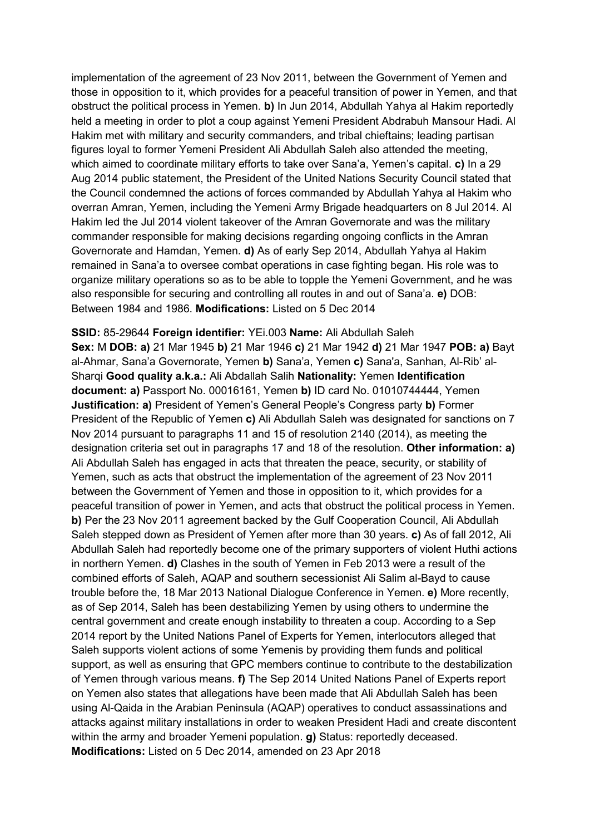implementation of the agreement of 23 Nov 2011, between the Government of Yemen and those in opposition to it, which provides for a peaceful transition of power in Yemen, and that obstruct the political process in Yemen. **b)** In Jun 2014, Abdullah Yahya al Hakim reportedly held a meeting in order to plot a coup against Yemeni President Abdrabuh Mansour Hadi. Al Hakim met with military and security commanders, and tribal chieftains; leading partisan figures loyal to former Yemeni President Ali Abdullah Saleh also attended the meeting, which aimed to coordinate military efforts to take over Sana'a, Yemen's capital. **c)** In a 29 Aug 2014 public statement, the President of the United Nations Security Council stated that the Council condemned the actions of forces commanded by Abdullah Yahya al Hakim who overran Amran, Yemen, including the Yemeni Army Brigade headquarters on 8 Jul 2014. Al Hakim led the Jul 2014 violent takeover of the Amran Governorate and was the military commander responsible for making decisions regarding ongoing conflicts in the Amran Governorate and Hamdan, Yemen. **d)** As of early Sep 2014, Abdullah Yahya al Hakim remained in Sana'a to oversee combat operations in case fighting began. His role was to organize military operations so as to be able to topple the Yemeni Government, and he was also responsible for securing and controlling all routes in and out of Sana'a. **e)** DOB: Between 1984 and 1986. **Modifications:** Listed on 5 Dec 2014

**SSID:** 85-29644 **Foreign identifier:** YEi.003 **Name:** Ali Abdullah Saleh **Sex:** M **DOB: a)** 21 Mar 1945 **b)** 21 Mar 1946 **c)** 21 Mar 1942 **d)** 21 Mar 1947 **POB: a)** Bayt al-Ahmar, Sana'a Governorate, Yemen **b)** Sana'a, Yemen **c)** Sana'a, Sanhan, Al-Rib' al-Sharqi **Good quality a.k.a.:** Ali Abdallah Salih **Nationality:** Yemen **Identification document: a)** Passport No. 00016161, Yemen **b)** ID card No. 01010744444, Yemen **Justification: a)** President of Yemen's General People's Congress party **b)** Former President of the Republic of Yemen **c)** Ali Abdullah Saleh was designated for sanctions on 7 Nov 2014 pursuant to paragraphs 11 and 15 of resolution 2140 (2014), as meeting the designation criteria set out in paragraphs 17 and 18 of the resolution. **Other information: a)**  Ali Abdullah Saleh has engaged in acts that threaten the peace, security, or stability of Yemen, such as acts that obstruct the implementation of the agreement of 23 Nov 2011 between the Government of Yemen and those in opposition to it, which provides for a peaceful transition of power in Yemen, and acts that obstruct the political process in Yemen. **b)** Per the 23 Nov 2011 agreement backed by the Gulf Cooperation Council, Ali Abdullah Saleh stepped down as President of Yemen after more than 30 years. **c)** As of fall 2012, Ali Abdullah Saleh had reportedly become one of the primary supporters of violent Huthi actions in northern Yemen. **d)** Clashes in the south of Yemen in Feb 2013 were a result of the combined efforts of Saleh, AQAP and southern secessionist Ali Salim al-Bayd to cause trouble before the, 18 Mar 2013 National Dialogue Conference in Yemen. **e)** More recently, as of Sep 2014, Saleh has been destabilizing Yemen by using others to undermine the central government and create enough instability to threaten a coup. According to a Sep 2014 report by the United Nations Panel of Experts for Yemen, interlocutors alleged that Saleh supports violent actions of some Yemenis by providing them funds and political support, as well as ensuring that GPC members continue to contribute to the destabilization of Yemen through various means. **f)** The Sep 2014 United Nations Panel of Experts report on Yemen also states that allegations have been made that Ali Abdullah Saleh has been using Al-Qaida in the Arabian Peninsula (AQAP) operatives to conduct assassinations and attacks against military installations in order to weaken President Hadi and create discontent within the army and broader Yemeni population. **g)** Status: reportedly deceased. **Modifications:** Listed on 5 Dec 2014, amended on 23 Apr 2018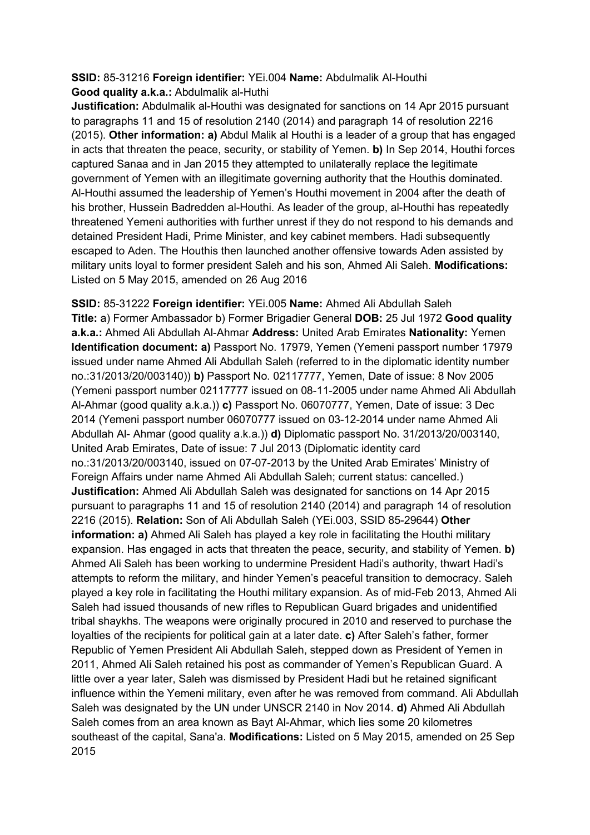#### **SSID:** 85-31216 **Foreign identifier:** YEi.004 **Name:** Abdulmalik Al-Houthi **Good quality a.k.a.:** Abdulmalik al-Huthi

**Justification:** Abdulmalik al-Houthi was designated for sanctions on 14 Apr 2015 pursuant to paragraphs 11 and 15 of resolution 2140 (2014) and paragraph 14 of resolution 2216 (2015). **Other information: a)** Abdul Malik al Houthi is a leader of a group that has engaged in acts that threaten the peace, security, or stability of Yemen. **b)** In Sep 2014, Houthi forces captured Sanaa and in Jan 2015 they attempted to unilaterally replace the legitimate government of Yemen with an illegitimate governing authority that the Houthis dominated. Al-Houthi assumed the leadership of Yemen's Houthi movement in 2004 after the death of his brother, Hussein Badredden al-Houthi. As leader of the group, al-Houthi has repeatedly threatened Yemeni authorities with further unrest if they do not respond to his demands and detained President Hadi, Prime Minister, and key cabinet members. Hadi subsequently escaped to Aden. The Houthis then launched another offensive towards Aden assisted by military units loyal to former president Saleh and his son, Ahmed Ali Saleh. **Modifications:**  Listed on 5 May 2015, amended on 26 Aug 2016

**SSID:** 85-31222 **Foreign identifier:** YEi.005 **Name:** Ahmed Ali Abdullah Saleh **Title:** a) Former Ambassador b) Former Brigadier General **DOB:** 25 Jul 1972 **Good quality a.k.a.:** Ahmed Ali Abdullah Al-Ahmar **Address:** United Arab Emirates **Nationality:** Yemen **Identification document: a)** Passport No. 17979, Yemen (Yemeni passport number 17979 issued under name Ahmed Ali Abdullah Saleh (referred to in the diplomatic identity number no.:31/2013/20/003140)) **b)** Passport No. 02117777, Yemen, Date of issue: 8 Nov 2005 (Yemeni passport number 02117777 issued on 08-11-2005 under name Ahmed Ali Abdullah Al-Ahmar (good quality a.k.a.)) **c)** Passport No. 06070777, Yemen, Date of issue: 3 Dec 2014 (Yemeni passport number 06070777 issued on 03-12-2014 under name Ahmed Ali Abdullah Al- Ahmar (good quality a.k.a.)) **d)** Diplomatic passport No. 31/2013/20/003140, United Arab Emirates, Date of issue: 7 Jul 2013 (Diplomatic identity card no.:31/2013/20/003140, issued on 07-07-2013 by the United Arab Emirates' Ministry of Foreign Affairs under name Ahmed Ali Abdullah Saleh; current status: cancelled.) **Justification:** Ahmed Ali Abdullah Saleh was designated for sanctions on 14 Apr 2015 pursuant to paragraphs 11 and 15 of resolution 2140 (2014) and paragraph 14 of resolution 2216 (2015). **Relation:** Son of Ali Abdullah Saleh (YEi.003, SSID 85-29644) **Other information: a)** Ahmed Ali Saleh has played a key role in facilitating the Houthi military expansion. Has engaged in acts that threaten the peace, security, and stability of Yemen. **b)**  Ahmed Ali Saleh has been working to undermine President Hadi's authority, thwart Hadi's attempts to reform the military, and hinder Yemen's peaceful transition to democracy. Saleh played a key role in facilitating the Houthi military expansion. As of mid-Feb 2013, Ahmed Ali Saleh had issued thousands of new rifles to Republican Guard brigades and unidentified tribal shaykhs. The weapons were originally procured in 2010 and reserved to purchase the loyalties of the recipients for political gain at a later date. **c)** After Saleh's father, former Republic of Yemen President Ali Abdullah Saleh, stepped down as President of Yemen in 2011, Ahmed Ali Saleh retained his post as commander of Yemen's Republican Guard. A little over a year later, Saleh was dismissed by President Hadi but he retained significant influence within the Yemeni military, even after he was removed from command. Ali Abdullah Saleh was designated by the UN under UNSCR 2140 in Nov 2014. **d)** Ahmed Ali Abdullah Saleh comes from an area known as Bayt Al-Ahmar, which lies some 20 kilometres southeast of the capital, Sana'a. **Modifications:** Listed on 5 May 2015, amended on 25 Sep 2015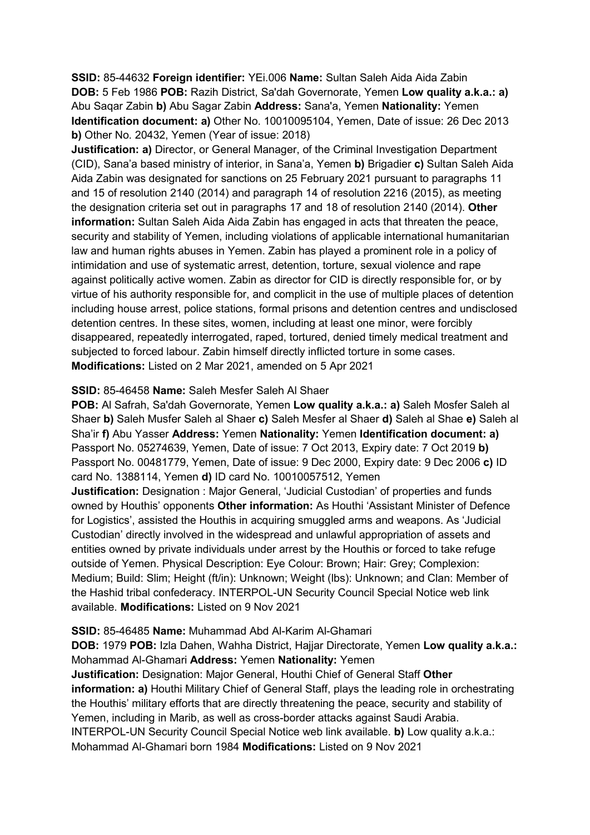**SSID:** 85-44632 **Foreign identifier:** YEi.006 **Name:** Sultan Saleh Aida Aida Zabin **DOB:** 5 Feb 1986 **POB:** Razih District, Sa'dah Governorate, Yemen **Low quality a.k.a.: a)**  Abu Saqar Zabin **b)** Abu Sagar Zabin **Address:** Sana'a, Yemen **Nationality:** Yemen **Identification document: a)** Other No. 10010095104, Yemen, Date of issue: 26 Dec 2013 **b)** Other No. 20432, Yemen (Year of issue: 2018)

**Justification: a)** Director, or General Manager, of the Criminal Investigation Department (CID), Sana'a based ministry of interior, in Sana'a, Yemen **b)** Brigadier **c)** Sultan Saleh Aida Aida Zabin was designated for sanctions on 25 February 2021 pursuant to paragraphs 11 and 15 of resolution 2140 (2014) and paragraph 14 of resolution 2216 (2015), as meeting the designation criteria set out in paragraphs 17 and 18 of resolution 2140 (2014). **Other information:** Sultan Saleh Aida Aida Zabin has engaged in acts that threaten the peace, security and stability of Yemen, including violations of applicable international humanitarian law and human rights abuses in Yemen. Zabin has played a prominent role in a policy of intimidation and use of systematic arrest, detention, torture, sexual violence and rape against politically active women. Zabin as director for CID is directly responsible for, or by virtue of his authority responsible for, and complicit in the use of multiple places of detention including house arrest, police stations, formal prisons and detention centres and undisclosed detention centres. In these sites, women, including at least one minor, were forcibly disappeared, repeatedly interrogated, raped, tortured, denied timely medical treatment and subjected to forced labour. Zabin himself directly inflicted torture in some cases. **Modifications:** Listed on 2 Mar 2021, amended on 5 Apr 2021

#### **SSID:** 85-46458 **Name:** Saleh Mesfer Saleh Al Shaer

**POB:** Al Safrah, Sa'dah Governorate, Yemen **Low quality a.k.a.: a)** Saleh Mosfer Saleh al Shaer **b)** Saleh Musfer Saleh al Shaer **c)** Saleh Mesfer al Shaer **d)** Saleh al Shae **e)** Saleh al Sha'ir **f)** Abu Yasser **Address:** Yemen **Nationality:** Yemen **Identification document: a)** Passport No. 05274639, Yemen, Date of issue: 7 Oct 2013, Expiry date: 7 Oct 2019 **b)**  Passport No. 00481779, Yemen, Date of issue: 9 Dec 2000, Expiry date: 9 Dec 2006 **c)** ID card No. 1388114, Yemen **d)** ID card No. 10010057512, Yemen **Justification:** Designation : Major General, 'Judicial Custodian' of properties and funds owned by Houthis' opponents **Other information:** As Houthi 'Assistant Minister of Defence for Logistics', assisted the Houthis in acquiring smuggled arms and weapons. As 'Judicial Custodian' directly involved in the widespread and unlawful appropriation of assets and entities owned by private individuals under arrest by the Houthis or forced to take refuge outside of Yemen. Physical Description: Eye Colour: Brown; Hair: Grey; Complexion: Medium; Build: Slim; Height (ft/in): Unknown; Weight (lbs): Unknown; and Clan: Member of the Hashid tribal confederacy. INTERPOL-UN Security Council Special Notice web link

#### available. **Modifications:** Listed on 9 Nov 2021

#### **SSID:** 85-46485 **Name:** Muhammad Abd Al-Karim Al-Ghamari

**DOB:** 1979 **POB:** Izla Dahen, Wahha District, Hajjar Directorate, Yemen **Low quality a.k.a.:**  Mohammad Al-Ghamari **Address:** Yemen **Nationality:** Yemen **Justification:** Designation: Major General, Houthi Chief of General Staff **Other information: a)** Houthi Military Chief of General Staff, plays the leading role in orchestrating the Houthis' military efforts that are directly threatening the peace, security and stability of Yemen, including in Marib, as well as cross-border attacks against Saudi Arabia. INTERPOL-UN Security Council Special Notice web link available. **b)** Low quality a.k.a.: Mohammad Al-Ghamari born 1984 **Modifications:** Listed on 9 Nov 2021